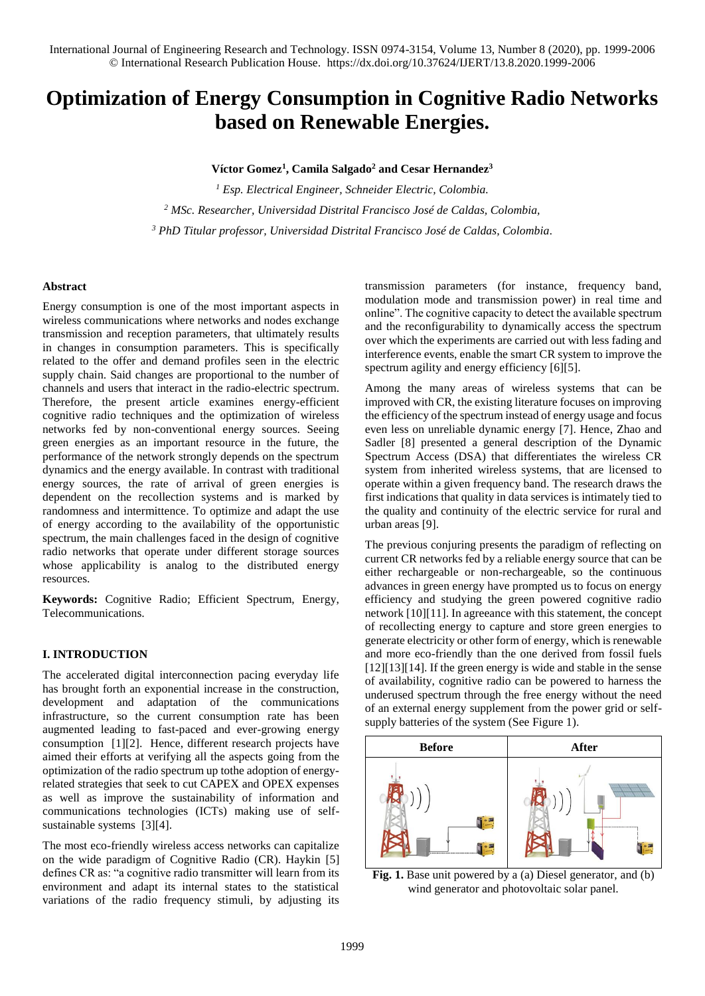# **Optimization of Energy Consumption in Cognitive Radio Networks based on Renewable Energies.**

**Víctor Gomez<sup>1</sup> , Camila Salgado<sup>2</sup> and Cesar Hernandez<sup>3</sup>**

*<sup>1</sup> Esp. Electrical Engineer, Schneider Electric, Colombia. <sup>2</sup> MSc. Researcher, Universidad Distrital Francisco José de Caldas, Colombia, <sup>3</sup> PhD Titular professor, Universidad Distrital Francisco José de Caldas, Colombia.*

## **Abstract**

Energy consumption is one of the most important aspects in wireless communications where networks and nodes exchange transmission and reception parameters, that ultimately results in changes in consumption parameters. This is specifically related to the offer and demand profiles seen in the electric supply chain. Said changes are proportional to the number of channels and users that interact in the radio-electric spectrum. Therefore, the present article examines energy-efficient cognitive radio techniques and the optimization of wireless networks fed by non-conventional energy sources. Seeing green energies as an important resource in the future, the performance of the network strongly depends on the spectrum dynamics and the energy available. In contrast with traditional energy sources, the rate of arrival of green energies is dependent on the recollection systems and is marked by randomness and intermittence. To optimize and adapt the use of energy according to the availability of the opportunistic spectrum, the main challenges faced in the design of cognitive radio networks that operate under different storage sources whose applicability is analog to the distributed energy resources.

**Keywords:** Cognitive Radio; Efficient Spectrum, Energy, Telecommunications.

# **I. INTRODUCTION**

The accelerated digital interconnection pacing everyday life has brought forth an exponential increase in the construction, development and adaptation of the communications infrastructure, so the current consumption rate has been augmented leading to fast-paced and ever-growing energy consumption [1][2]. Hence, different research projects have aimed their efforts at verifying all the aspects going from the optimization of the radio spectrum up tothe adoption of energyrelated strategies that seek to cut CAPEX and OPEX expenses as well as improve the sustainability of information and communications technologies (ICTs) making use of selfsustainable systems [3][4].

The most eco-friendly wireless access networks can capitalize on the wide paradigm of Cognitive Radio (CR). Haykin [5] defines CR as: "a cognitive radio transmitter will learn from its environment and adapt its internal states to the statistical variations of the radio frequency stimuli, by adjusting its transmission parameters (for instance, frequency band, modulation mode and transmission power) in real time and online". The cognitive capacity to detect the available spectrum and the reconfigurability to dynamically access the spectrum over which the experiments are carried out with less fading and interference events, enable the smart CR system to improve the spectrum agility and energy efficiency [6][5].

Among the many areas of wireless systems that can be improved with CR, the existing literature focuses on improving the efficiency of the spectrum instead of energy usage and focus even less on unreliable dynamic energy [7]. Hence, Zhao and Sadler [8] presented a general description of the Dynamic Spectrum Access (DSA) that differentiates the wireless CR system from inherited wireless systems, that are licensed to operate within a given frequency band. The research draws the first indications that quality in data services is intimately tied to the quality and continuity of the electric service for rural and urban areas [9].

The previous conjuring presents the paradigm of reflecting on current CR networks fed by a reliable energy source that can be either rechargeable or non-rechargeable, so the continuous advances in green energy have prompted us to focus on energy efficiency and studying the green powered cognitive radio network [10][11]. In agreeance with this statement, the concept of recollecting energy to capture and store green energies to generate electricity or other form of energy, which is renewable and more eco-friendly than the one derived from fossil fuels [12][13][14]. If the green energy is wide and stable in the sense of availability, cognitive radio can be powered to harness the underused spectrum through the free energy without the need of an external energy supplement from the power grid or selfsupply batteries of the system (See Figure 1).



**Fig. 1.** Base unit powered by a (a) Diesel generator, and (b) wind generator and photovoltaic solar panel.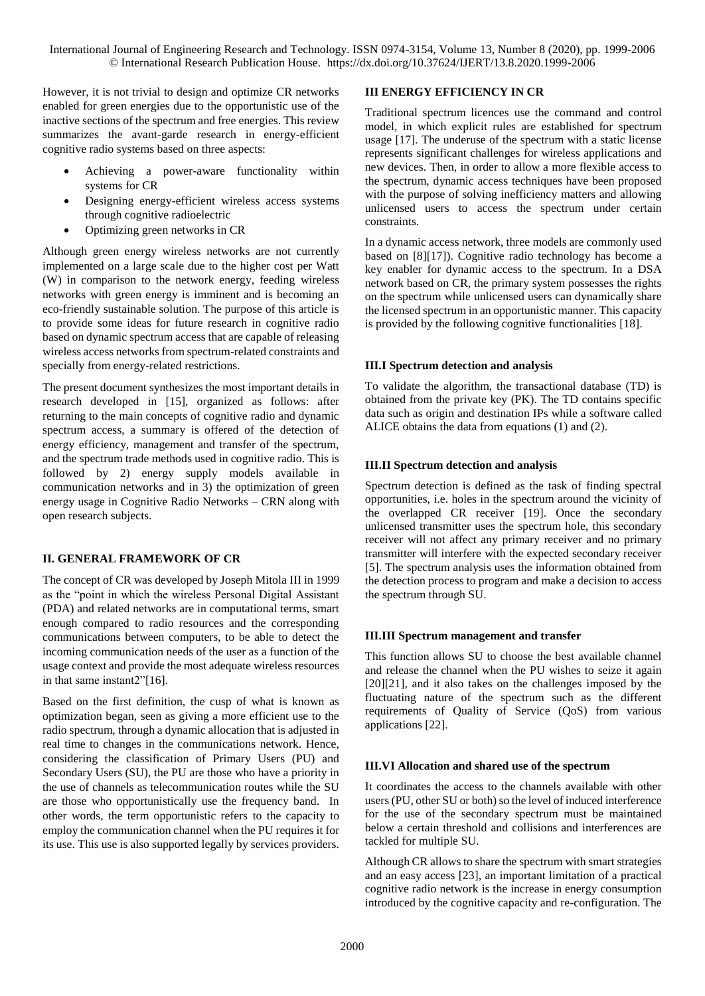However, it is not trivial to design and optimize CR networks enabled for green energies due to the opportunistic use of the inactive sections of the spectrum and free energies. This review summarizes the avant-garde research in energy-efficient cognitive radio systems based on three aspects:

- Achieving a power-aware functionality within systems for CR
- Designing energy-efficient wireless access systems through cognitive radioelectric
- Optimizing green networks in CR

Although green energy wireless networks are not currently implemented on a large scale due to the higher cost per Watt (W) in comparison to the network energy, feeding wireless networks with green energy is imminent and is becoming an eco-friendly sustainable solution. The purpose of this article is to provide some ideas for future research in cognitive radio based on dynamic spectrum access that are capable of releasing wireless access networks from spectrum-related constraints and specially from energy-related restrictions.

The present document synthesizes the most important details in research developed in [15], organized as follows: after returning to the main concepts of cognitive radio and dynamic spectrum access, a summary is offered of the detection of energy efficiency, management and transfer of the spectrum, and the spectrum trade methods used in cognitive radio. This is followed by 2) energy supply models available in communication networks and in 3) the optimization of green energy usage in Cognitive Radio Networks – CRN along with open research subjects.

# **II. GENERAL FRAMEWORK OF CR**

The concept of CR was developed by Joseph Mitola III in 1999 as the "point in which the wireless Personal Digital Assistant (PDA) and related networks are in computational terms, smart enough compared to radio resources and the corresponding communications between computers, to be able to detect the incoming communication needs of the user as a function of the usage context and provide the most adequate wireless resources in that same instant2"[16].

Based on the first definition, the cusp of what is known as optimization began, seen as giving a more efficient use to the radio spectrum, through a dynamic allocation that is adjusted in real time to changes in the communications network. Hence, considering the classification of Primary Users (PU) and Secondary Users (SU), the PU are those who have a priority in the use of channels as telecommunication routes while the SU are those who opportunistically use the frequency band. In other words, the term opportunistic refers to the capacity to employ the communication channel when the PU requires it for its use. This use is also supported legally by services providers.

### **III ENERGY EFFICIENCY IN CR**

Traditional spectrum licences use the command and control model, in which explicit rules are established for spectrum usage [17]. The underuse of the spectrum with a static license represents significant challenges for wireless applications and new devices. Then, in order to allow a more flexible access to the spectrum, dynamic access techniques have been proposed with the purpose of solving inefficiency matters and allowing unlicensed users to access the spectrum under certain constraints.

In a dynamic access network, three models are commonly used based on [8][17]). Cognitive radio technology has become a key enabler for dynamic access to the spectrum. In a DSA network based on CR, the primary system possesses the rights on the spectrum while unlicensed users can dynamically share the licensed spectrum in an opportunistic manner. This capacity is provided by the following cognitive functionalities [18].

### **III.I Spectrum detection and analysis**

To validate the algorithm, the transactional database (TD) is obtained from the private key (PK). The TD contains specific data such as origin and destination IPs while a software called ALICE obtains the data from equations (1) and (2).

## **III.II Spectrum detection and analysis**

Spectrum detection is defined as the task of finding spectral opportunities, i.e. holes in the spectrum around the vicinity of the overlapped CR receiver [19]. Once the secondary unlicensed transmitter uses the spectrum hole, this secondary receiver will not affect any primary receiver and no primary transmitter will interfere with the expected secondary receiver [5]. The spectrum analysis uses the information obtained from the detection process to program and make a decision to access the spectrum through SU.

### **III.III Spectrum management and transfer**

This function allows SU to choose the best available channel and release the channel when the PU wishes to seize it again [20][21], and it also takes on the challenges imposed by the fluctuating nature of the spectrum such as the different requirements of Quality of Service (QoS) from various applications [22].

# **III.VI Allocation and shared use of the spectrum**

It coordinates the access to the channels available with other users (PU, other SU or both) so the level of induced interference for the use of the secondary spectrum must be maintained below a certain threshold and collisions and interferences are tackled for multiple SU.

Although CR allows to share the spectrum with smart strategies and an easy access [23], an important limitation of a practical cognitive radio network is the increase in energy consumption introduced by the cognitive capacity and re-configuration. The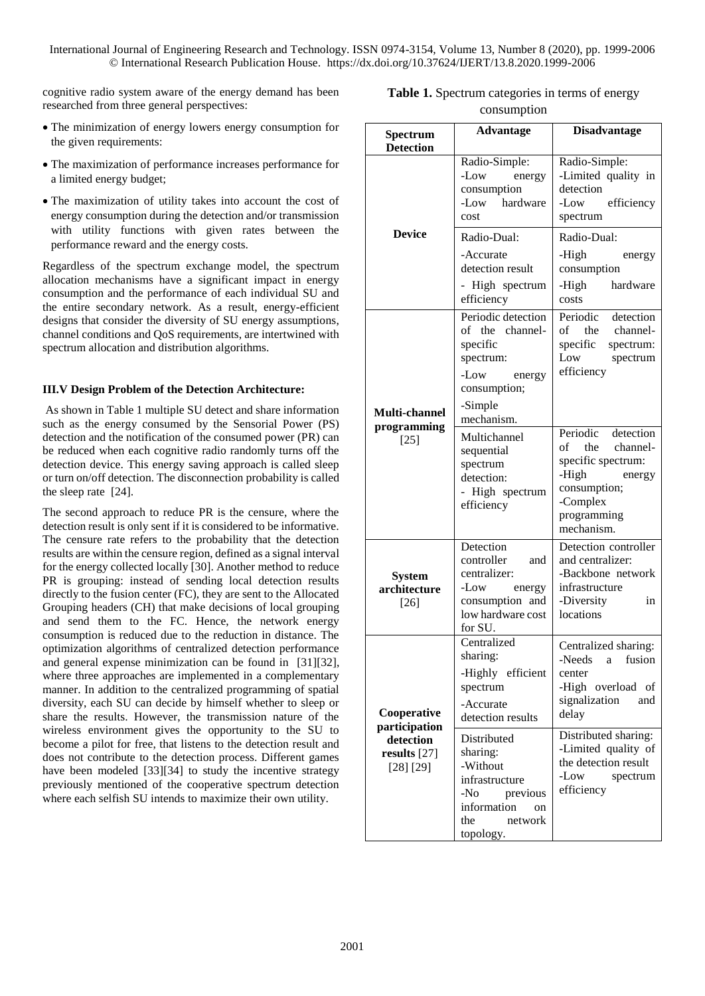cognitive radio system aware of the energy demand has been researched from three general perspectives:

- The minimization of energy lowers energy consumption for the given requirements:
- The maximization of performance increases performance for a limited energy budget;
- The maximization of utility takes into account the cost of energy consumption during the detection and/or transmission with utility functions with given rates between the performance reward and the energy costs.

Regardless of the spectrum exchange model, the spectrum allocation mechanisms have a significant impact in energy consumption and the performance of each individual SU and the entire secondary network. As a result, energy-efficient designs that consider the diversity of SU energy assumptions, channel conditions and QoS requirements, are intertwined with spectrum allocation and distribution algorithms.

### **III.V Design Problem of the Detection Architecture:**

As shown in Table 1 multiple SU detect and share information such as the energy consumed by the Sensorial Power (PS) detection and the notification of the consumed power (PR) can be reduced when each cognitive radio randomly turns off the detection device. This energy saving approach is called sleep or turn on/off detection. The disconnection probability is called the sleep rate [24].

The second approach to reduce PR is the censure, where the detection result is only sent if it is considered to be informative. The censure rate refers to the probability that the detection results are within the censure region, defined as a signal interval for the energy collected locally [30]. Another method to reduce PR is grouping: instead of sending local detection results directly to the fusion center (FC), they are sent to the Allocated Grouping headers (CH) that make decisions of local grouping and send them to the FC. Hence, the network energy consumption is reduced due to the reduction in distance. The optimization algorithms of centralized detection performance and general expense minimization can be found in [31][32], where three approaches are implemented in a complementary manner. In addition to the centralized programming of spatial diversity, each SU can decide by himself whether to sleep or share the results. However, the transmission nature of the wireless environment gives the opportunity to the SU to become a pilot for free, that listens to the detection result and does not contribute to the detection process. Different games have been modeled [33][34] to study the incentive strategy previously mentioned of the cooperative spectrum detection where each selfish SU intends to maximize their own utility.

| <b>Table 1.</b> Spectrum categories in terms of energy |
|--------------------------------------------------------|
| consumption                                            |

| Spectrum<br><b>Detection</b>                                             | <b>Advantage</b>                                                                                                             | <b>Disadvantage</b>                                                                                                                     |  |  |  |  |
|--------------------------------------------------------------------------|------------------------------------------------------------------------------------------------------------------------------|-----------------------------------------------------------------------------------------------------------------------------------------|--|--|--|--|
| <b>Device</b>                                                            | Radio-Simple:<br>-Low<br>energy<br>consumption<br>-Low hardware<br>cost                                                      | Radio-Simple:<br>-Limited quality in<br>detection<br>-Low efficiency<br>spectrum                                                        |  |  |  |  |
|                                                                          | Radio-Dual:<br>-Accurate                                                                                                     | Radio-Dual:<br>-High<br>energy                                                                                                          |  |  |  |  |
|                                                                          | detection result<br>- High spectrum<br>efficiency                                                                            | consumption<br>-High<br>hardware<br>costs                                                                                               |  |  |  |  |
| Multi-channel<br>programming<br>$[25]$                                   | Periodic detection<br>of the channel-<br>specific<br>spectrum:<br>-Low<br>energy<br>consumption;<br>-Simple<br>mechanism.    | Periodic detection<br>of the channel-<br>specific<br>spectrum:<br>Low spectrum<br>efficiency                                            |  |  |  |  |
|                                                                          | Multichannel<br>sequential<br>spectrum<br>detection:<br>- High spectrum<br>efficiency                                        | Periodic detection<br>of the channel-<br>specific spectrum:<br>-High<br>energy<br>consumption;<br>-Complex<br>programming<br>mechanism. |  |  |  |  |
| <b>System</b><br>architecture<br>$[26]$                                  | Detection<br>controller<br>and<br>centralizer:<br>-Low energy<br>consumption and<br>low hardware cost<br>for SU.             | Detection controller<br>and centralizer:<br>-Backbone network<br>infrastructure<br>-Diversity<br>in<br>locations                        |  |  |  |  |
| Cooperative<br>participation<br>detection<br>results $[27]$<br>[28] [29] | Centralized<br>sharing:<br>-Highly efficient<br>spectrum<br>-Accurate<br>detection results                                   | Centralized sharing:<br>-Needs<br>fusion<br>a -<br>center<br>-High overload of<br>signalization<br>and<br>delay                         |  |  |  |  |
|                                                                          | Distributed<br>sharing:<br>-Without<br>infrastructure<br>-No<br>previous<br>information<br>on<br>network<br>the<br>topology. | Distributed sharing:<br>-Limited quality of<br>the detection result<br>-Low<br>spectrum<br>efficiency                                   |  |  |  |  |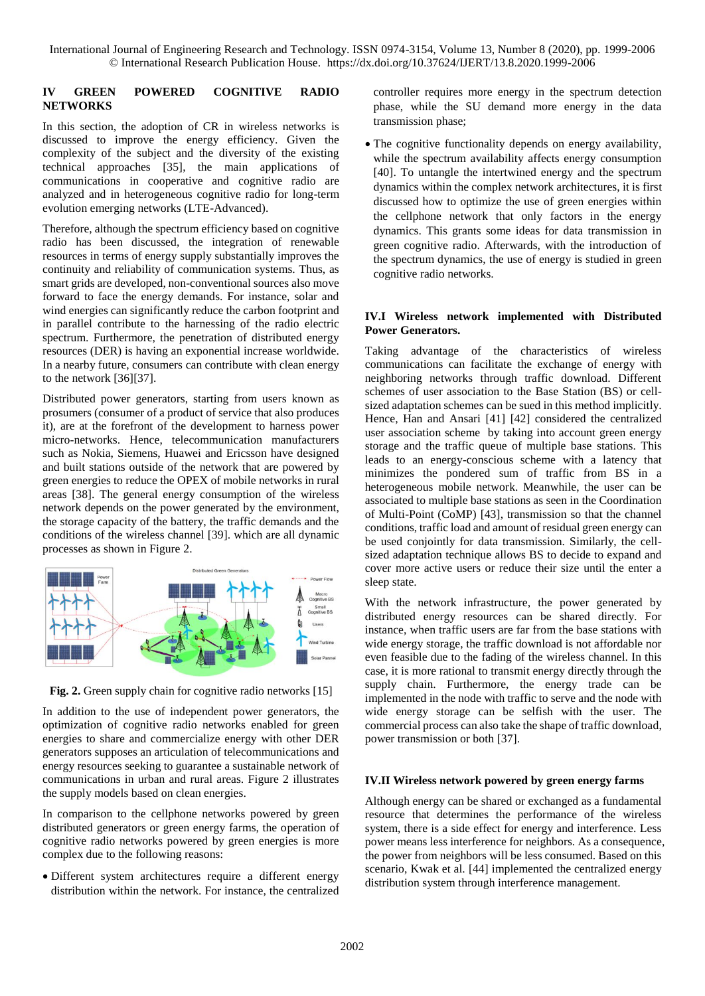### **IV GREEN POWERED COGNITIVE RADIO NETWORKS**

In this section, the adoption of CR in wireless networks is discussed to improve the energy efficiency. Given the complexity of the subject and the diversity of the existing technical approaches [35], the main applications of communications in cooperative and cognitive radio are analyzed and in heterogeneous cognitive radio for long-term evolution emerging networks (LTE-Advanced).

Therefore, although the spectrum efficiency based on cognitive radio has been discussed, the integration of renewable resources in terms of energy supply substantially improves the continuity and reliability of communication systems. Thus, as smart grids are developed, non-conventional sources also move forward to face the energy demands. For instance, solar and wind energies can significantly reduce the carbon footprint and in parallel contribute to the harnessing of the radio electric spectrum. Furthermore, the penetration of distributed energy resources (DER) is having an exponential increase worldwide. In a nearby future, consumers can contribute with clean energy to the network [36][37].

Distributed power generators, starting from users known as prosumers (consumer of a product of service that also produces it), are at the forefront of the development to harness power micro-networks. Hence, telecommunication manufacturers such as Nokia, Siemens, Huawei and Ericsson have designed and built stations outside of the network that are powered by green energies to reduce the OPEX of mobile networks in rural areas [38]. The general energy consumption of the wireless network depends on the power generated by the environment, the storage capacity of the battery, the traffic demands and the conditions of the wireless channel [39]. which are all dynamic processes as shown in Figure 2.



**Fig. 2.** Green supply chain for cognitive radio networks [15]

In addition to the use of independent power generators, the optimization of cognitive radio networks enabled for green energies to share and commercialize energy with other DER generators supposes an articulation of telecommunications and energy resources seeking to guarantee a sustainable network of communications in urban and rural areas. Figure 2 illustrates the supply models based on clean energies.

In comparison to the cellphone networks powered by green distributed generators or green energy farms, the operation of cognitive radio networks powered by green energies is more complex due to the following reasons:

 Different system architectures require a different energy distribution within the network. For instance, the centralized controller requires more energy in the spectrum detection phase, while the SU demand more energy in the data transmission phase;

 The cognitive functionality depends on energy availability, while the spectrum availability affects energy consumption [40]. To untangle the intertwined energy and the spectrum dynamics within the complex network architectures, it is first discussed how to optimize the use of green energies within the cellphone network that only factors in the energy dynamics. This grants some ideas for data transmission in green cognitive radio. Afterwards, with the introduction of the spectrum dynamics, the use of energy is studied in green cognitive radio networks.

## **IV.I Wireless network implemented with Distributed Power Generators.**

Taking advantage of the characteristics of wireless communications can facilitate the exchange of energy with neighboring networks through traffic download. Different schemes of user association to the Base Station (BS) or cellsized adaptation schemes can be sued in this method implicitly. Hence, Han and Ansari [41] [42] considered the centralized user association scheme by taking into account green energy storage and the traffic queue of multiple base stations. This leads to an energy-conscious scheme with a latency that minimizes the pondered sum of traffic from BS in a heterogeneous mobile network. Meanwhile, the user can be associated to multiple base stations as seen in the Coordination of Multi-Point (CoMP) [43], transmission so that the channel conditions, traffic load and amount of residual green energy can be used conjointly for data transmission. Similarly, the cellsized adaptation technique allows BS to decide to expand and cover more active users or reduce their size until the enter a sleep state.

With the network infrastructure, the power generated by distributed energy resources can be shared directly. For instance, when traffic users are far from the base stations with wide energy storage, the traffic download is not affordable nor even feasible due to the fading of the wireless channel. In this case, it is more rational to transmit energy directly through the supply chain. Furthermore, the energy trade can be implemented in the node with traffic to serve and the node with wide energy storage can be selfish with the user. The commercial process can also take the shape of traffic download, power transmission or both [37].

### **IV.II Wireless network powered by green energy farms**

Although energy can be shared or exchanged as a fundamental resource that determines the performance of the wireless system, there is a side effect for energy and interference. Less power means less interference for neighbors. As a consequence, the power from neighbors will be less consumed. Based on this scenario, Kwak et al. [44] implemented the centralized energy distribution system through interference management.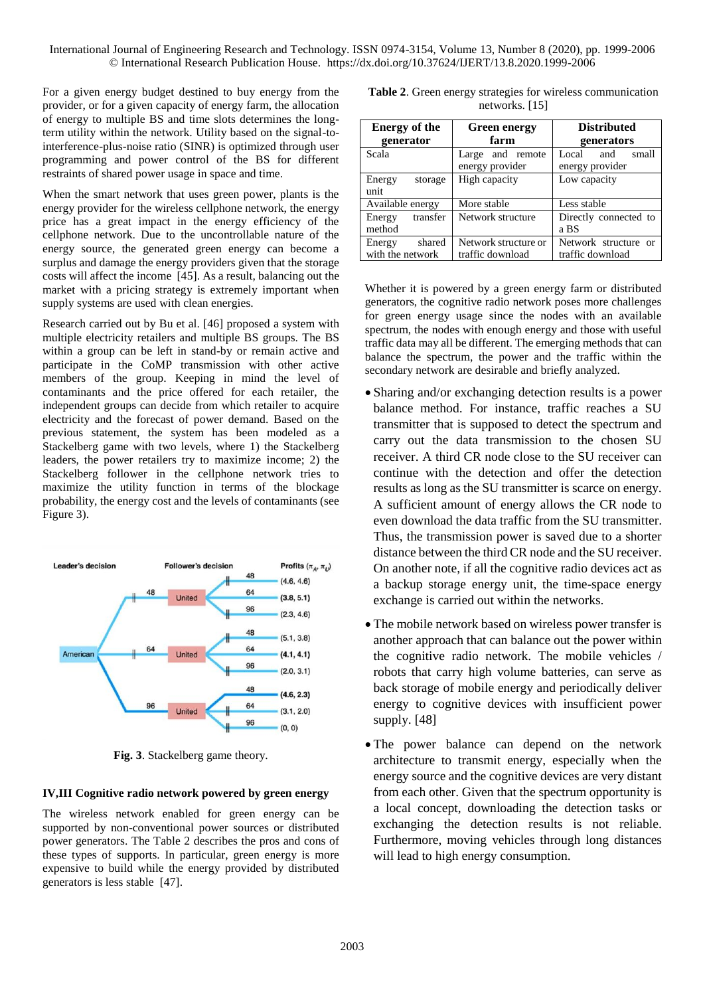For a given energy budget destined to buy energy from the provider, or for a given capacity of energy farm, the allocation of energy to multiple BS and time slots determines the longterm utility within the network. Utility based on the signal-tointerference-plus-noise ratio (SINR) is optimized through user programming and power control of the BS for different restraints of shared power usage in space and time.

When the smart network that uses green power, plants is the energy provider for the wireless cellphone network, the energy price has a great impact in the energy efficiency of the cellphone network. Due to the uncontrollable nature of the energy source, the generated green energy can become a surplus and damage the energy providers given that the storage costs will affect the income [45]. As a result, balancing out the market with a pricing strategy is extremely important when supply systems are used with clean energies.

Research carried out by Bu et al. [46] proposed a system with multiple electricity retailers and multiple BS groups. The BS within a group can be left in stand-by or remain active and participate in the CoMP transmission with other active members of the group. Keeping in mind the level of contaminants and the price offered for each retailer, the independent groups can decide from which retailer to acquire electricity and the forecast of power demand. Based on the previous statement, the system has been modeled as a Stackelberg game with two levels, where 1) the Stackelberg leaders, the power retailers try to maximize income; 2) the Stackelberg follower in the cellphone network tries to maximize the utility function in terms of the blockage probability, the energy cost and the levels of contaminants (see Figure 3).



**Fig. 3**. Stackelberg game theory.

### **IV,III Cognitive radio network powered by green energy**

The wireless network enabled for green energy can be supported by non-conventional power sources or distributed power generators. The Table 2 describes the pros and cons of these types of supports. In particular, green energy is more expensive to build while the energy provided by distributed generators is less stable [47].

| <b>Table 2.</b> Green energy strategies for wireless communication |                  |  |  |
|--------------------------------------------------------------------|------------------|--|--|
|                                                                    | networks. $[15]$ |  |  |

| <b>Energy of the</b>                 | <b>Green energy</b>                      | <b>Distributed</b>                       |  |
|--------------------------------------|------------------------------------------|------------------------------------------|--|
| generator                            | farm                                     | generators                               |  |
| Scala                                | and remote<br>Large<br>energy provider   | Local<br>small<br>and<br>energy provider |  |
| Energy<br>storage<br>unit            | High capacity                            | Low capacity                             |  |
| Available energy                     | More stable                              | Less stable                              |  |
| transfer<br>Energy<br>method         | Network structure                        | Directly connected to<br>a BS            |  |
| shared<br>Energy<br>with the network | Network structure or<br>traffic download | Network structure or<br>traffic download |  |

Whether it is powered by a green energy farm or distributed generators, the cognitive radio network poses more challenges for green energy usage since the nodes with an available spectrum, the nodes with enough energy and those with useful traffic data may all be different. The emerging methods that can balance the spectrum, the power and the traffic within the secondary network are desirable and briefly analyzed.

- Sharing and/or exchanging detection results is a power balance method. For instance, traffic reaches a SU transmitter that is supposed to detect the spectrum and carry out the data transmission to the chosen SU receiver. A third CR node close to the SU receiver can continue with the detection and offer the detection results as long as the SU transmitter is scarce on energy. A sufficient amount of energy allows the CR node to even download the data traffic from the SU transmitter. Thus, the transmission power is saved due to a shorter distance between the third CR node and the SU receiver. On another note, if all the cognitive radio devices act as a backup storage energy unit, the time-space energy exchange is carried out within the networks.
- The mobile network based on wireless power transfer is another approach that can balance out the power within the cognitive radio network. The mobile vehicles / robots that carry high volume batteries, can serve as back storage of mobile energy and periodically deliver energy to cognitive devices with insufficient power supply. [48]
- The power balance can depend on the network architecture to transmit energy, especially when the energy source and the cognitive devices are very distant from each other. Given that the spectrum opportunity is a local concept, downloading the detection tasks or exchanging the detection results is not reliable. Furthermore, moving vehicles through long distances will lead to high energy consumption.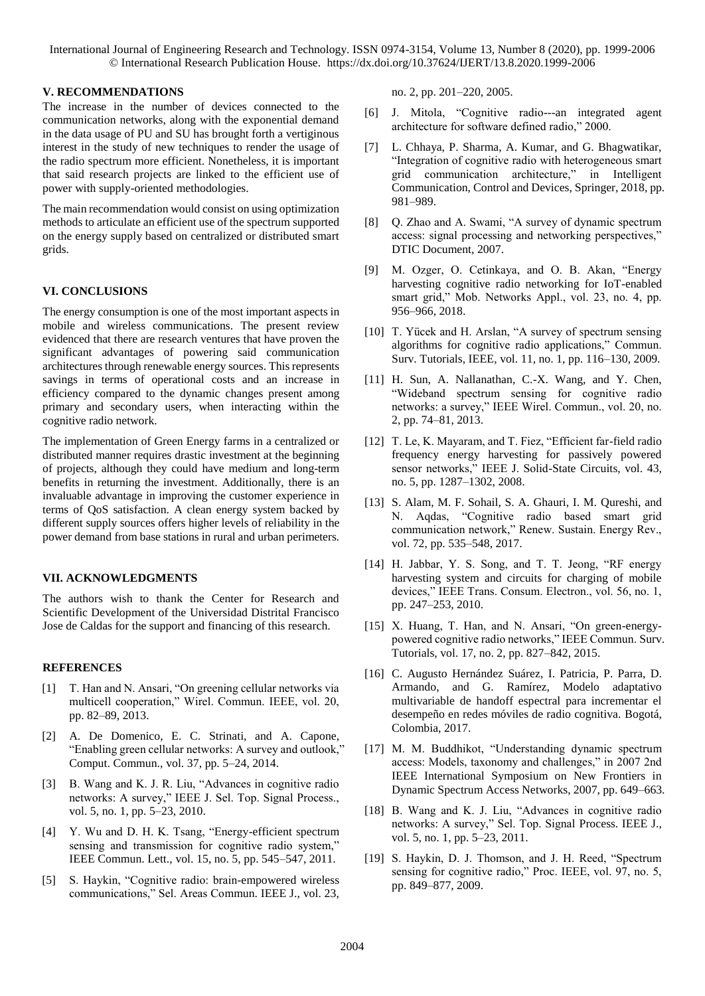#### **V. RECOMMENDATIONS**

The increase in the number of devices connected to the communication networks, along with the exponential demand in the data usage of PU and SU has brought forth a vertiginous interest in the study of new techniques to render the usage of the radio spectrum more efficient. Nonetheless, it is important that said research projects are linked to the efficient use of power with supply-oriented methodologies.

The main recommendation would consist on using optimization methods to articulate an efficient use of the spectrum supported on the energy supply based on centralized or distributed smart grids.

#### **VI. CONCLUSIONS**

The energy consumption is one of the most important aspects in mobile and wireless communications. The present review evidenced that there are research ventures that have proven the significant advantages of powering said communication architectures through renewable energy sources. This represents savings in terms of operational costs and an increase in efficiency compared to the dynamic changes present among primary and secondary users, when interacting within the cognitive radio network.

The implementation of Green Energy farms in a centralized or distributed manner requires drastic investment at the beginning of projects, although they could have medium and long-term benefits in returning the investment. Additionally, there is an invaluable advantage in improving the customer experience in terms of QoS satisfaction. A clean energy system backed by different supply sources offers higher levels of reliability in the power demand from base stations in rural and urban perimeters.

#### **VII. ACKNOWLEDGMENTS**

The authors wish to thank the Center for Research and Scientific Development of the Universidad Distrital Francisco Jose de Caldas for the support and financing of this research.

#### **REFERENCES**

- [1] T. Han and N. Ansari, "On greening cellular networks via multicell cooperation," Wirel. Commun. IEEE, vol. 20, pp. 82–89, 2013.
- [2] A. De Domenico, E. C. Strinati, and A. Capone, "Enabling green cellular networks: A survey and outlook," Comput. Commun., vol. 37, pp. 5–24, 2014.
- [3] B. Wang and K. J. R. Liu, "Advances in cognitive radio networks: A survey," IEEE J. Sel. Top. Signal Process., vol. 5, no. 1, pp. 5–23, 2010.
- [4] Y. Wu and D. H. K. Tsang, "Energy-efficient spectrum sensing and transmission for cognitive radio system," IEEE Commun. Lett., vol. 15, no. 5, pp. 545–547, 2011.
- [5] S. Haykin, "Cognitive radio: brain-empowered wireless communications," Sel. Areas Commun. IEEE J., vol. 23,

no. 2, pp. 201–220, 2005.

- [6] J. Mitola, "Cognitive radio---an integrated agent architecture for software defined radio," 2000.
- [7] L. Chhaya, P. Sharma, A. Kumar, and G. Bhagwatikar, "Integration of cognitive radio with heterogeneous smart grid communication architecture," in Intelligent Communication, Control and Devices, Springer, 2018, pp. 981–989.
- [8] Q. Zhao and A. Swami, "A survey of dynamic spectrum access: signal processing and networking perspectives," DTIC Document, 2007.
- [9] M. Ozger, O. Cetinkaya, and O. B. Akan, "Energy harvesting cognitive radio networking for IoT-enabled smart grid," Mob. Networks Appl., vol. 23, no. 4, pp. 956–966, 2018.
- [10] T. Yücek and H. Arslan, "A survey of spectrum sensing algorithms for cognitive radio applications," Commun. Surv. Tutorials, IEEE, vol. 11, no. 1, pp. 116–130, 2009.
- [11] H. Sun, A. Nallanathan, C.-X. Wang, and Y. Chen, "Wideband spectrum sensing for cognitive radio networks: a survey," IEEE Wirel. Commun., vol. 20, no. 2, pp. 74–81, 2013.
- [12] T. Le, K. Mayaram, and T. Fiez, "Efficient far-field radio frequency energy harvesting for passively powered sensor networks," IEEE J. Solid-State Circuits, vol. 43, no. 5, pp. 1287–1302, 2008.
- [13] S. Alam, M. F. Sohail, S. A. Ghauri, I. M. Qureshi, and N. Aqdas, "Cognitive radio based smart grid communication network," Renew. Sustain. Energy Rev., vol. 72, pp. 535–548, 2017.
- [14] H. Jabbar, Y. S. Song, and T. T. Jeong, "RF energy harvesting system and circuits for charging of mobile devices," IEEE Trans. Consum. Electron., vol. 56, no. 1, pp. 247–253, 2010.
- [15] X. Huang, T. Han, and N. Ansari, "On green-energypowered cognitive radio networks," IEEE Commun. Surv. Tutorials, vol. 17, no. 2, pp. 827–842, 2015.
- [16] C. Augusto Hernández Suárez, I. Patricia, P. Parra, D. Armando, and G. Ramírez, Modelo adaptativo multivariable de handoff espectral para incrementar el desempeño en redes móviles de radio cognitiva. Bogotá, Colombia, 2017.
- [17] M. M. Buddhikot, "Understanding dynamic spectrum access: Models, taxonomy and challenges," in 2007 2nd IEEE International Symposium on New Frontiers in Dynamic Spectrum Access Networks, 2007, pp. 649–663.
- [18] B. Wang and K. J. Liu, "Advances in cognitive radio networks: A survey," Sel. Top. Signal Process. IEEE J., vol. 5, no. 1, pp. 5–23, 2011.
- [19] S. Haykin, D. J. Thomson, and J. H. Reed, "Spectrum sensing for cognitive radio," Proc. IEEE, vol. 97, no. 5, pp. 849–877, 2009.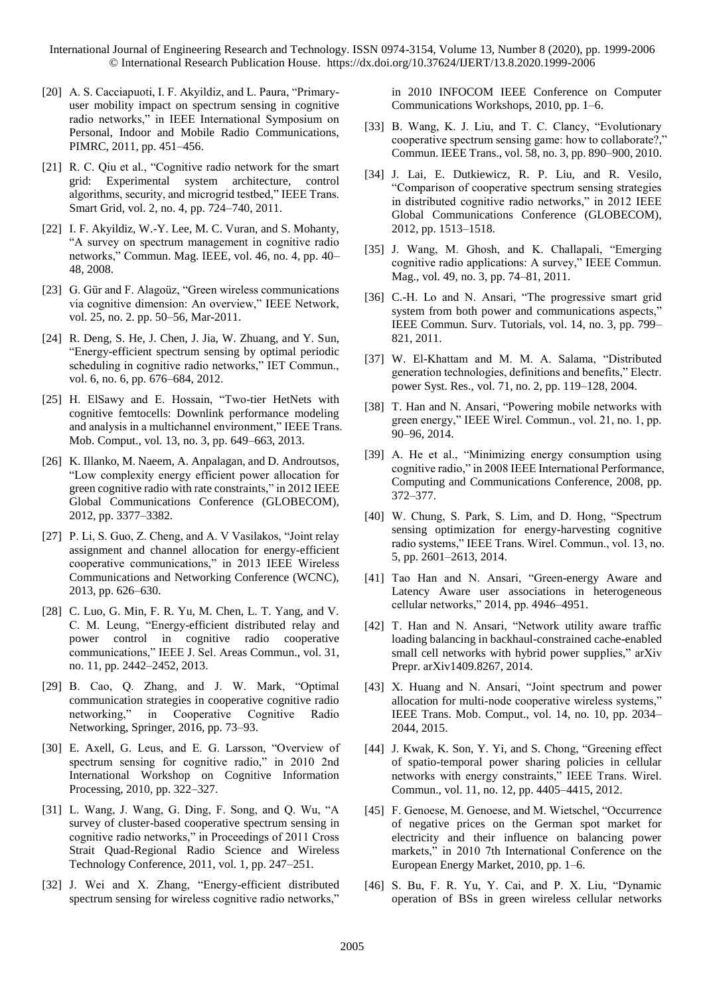- [20] A. S. Cacciapuoti, I. F. Akyildiz, and L. Paura, "Primaryuser mobility impact on spectrum sensing in cognitive radio networks," in IEEE International Symposium on Personal, Indoor and Mobile Radio Communications, PIMRC, 2011, pp. 451–456.
- [21] R. C. Qiu et al., "Cognitive radio network for the smart grid: Experimental system architecture, control algorithms, security, and microgrid testbed," IEEE Trans. Smart Grid, vol. 2, no. 4, pp. 724–740, 2011.
- [22] I. F. Akyildiz, W.-Y. Lee, M. C. Vuran, and S. Mohanty, "A survey on spectrum management in cognitive radio networks," Commun. Mag. IEEE, vol. 46, no. 4, pp. 40– 48, 2008.
- [23] G. Gür and F. Alagoüz, "Green wireless communications via cognitive dimension: An overview," IEEE Network, vol. 25, no. 2. pp. 50–56, Mar-2011.
- [24] R. Deng, S. He, J. Chen, J. Jia, W. Zhuang, and Y. Sun, "Energy-efficient spectrum sensing by optimal periodic scheduling in cognitive radio networks," IET Commun., vol. 6, no. 6, pp. 676–684, 2012.
- [25] H. ElSawy and E. Hossain, "Two-tier HetNets with cognitive femtocells: Downlink performance modeling and analysis in a multichannel environment," IEEE Trans. Mob. Comput., vol. 13, no. 3, pp. 649–663, 2013.
- [26] K. Illanko, M. Naeem, A. Anpalagan, and D. Androutsos, "Low complexity energy efficient power allocation for green cognitive radio with rate constraints," in 2012 IEEE Global Communications Conference (GLOBECOM), 2012, pp. 3377–3382.
- [27] P. Li, S. Guo, Z. Cheng, and A. V Vasilakos, "Joint relay assignment and channel allocation for energy-efficient cooperative communications," in 2013 IEEE Wireless Communications and Networking Conference (WCNC), 2013, pp. 626–630.
- [28] C. Luo, G. Min, F. R. Yu, M. Chen, L. T. Yang, and V. C. M. Leung, "Energy-efficient distributed relay and power control in cognitive radio cooperative communications," IEEE J. Sel. Areas Commun., vol. 31, no. 11, pp. 2442–2452, 2013.
- [29] B. Cao, Q. Zhang, and J. W. Mark, "Optimal communication strategies in cooperative cognitive radio networking," in Cooperative Cognitive Radio Networking, Springer, 2016, pp. 73–93.
- [30] E. Axell, G. Leus, and E. G. Larsson, "Overview of spectrum sensing for cognitive radio," in 2010 2nd International Workshop on Cognitive Information Processing, 2010, pp. 322–327.
- [31] L. Wang, J. Wang, G. Ding, F. Song, and O. Wu, "A survey of cluster-based cooperative spectrum sensing in cognitive radio networks," in Proceedings of 2011 Cross Strait Quad-Regional Radio Science and Wireless Technology Conference, 2011, vol. 1, pp. 247–251.
- [32] J. Wei and X. Zhang, "Energy-efficient distributed spectrum sensing for wireless cognitive radio networks,"

in 2010 INFOCOM IEEE Conference on Computer Communications Workshops, 2010, pp. 1–6.

- [33] B. Wang, K. J. Liu, and T. C. Clancy, "Evolutionary cooperative spectrum sensing game: how to collaborate?," Commun. IEEE Trans., vol. 58, no. 3, pp. 890–900, 2010.
- [34] J. Lai, E. Dutkiewicz, R. P. Liu, and R. Vesilo, "Comparison of cooperative spectrum sensing strategies in distributed cognitive radio networks," in 2012 IEEE Global Communications Conference (GLOBECOM), 2012, pp. 1513–1518.
- [35] J. Wang, M. Ghosh, and K. Challapali, "Emerging cognitive radio applications: A survey," IEEE Commun. Mag., vol. 49, no. 3, pp. 74–81, 2011.
- [36] C.-H. Lo and N. Ansari, "The progressive smart grid system from both power and communications aspects," IEEE Commun. Surv. Tutorials, vol. 14, no. 3, pp. 799– 821, 2011.
- [37] W. El-Khattam and M. M. A. Salama, "Distributed generation technologies, definitions and benefits," Electr. power Syst. Res., vol. 71, no. 2, pp. 119–128, 2004.
- [38] T. Han and N. Ansari, "Powering mobile networks with green energy," IEEE Wirel. Commun., vol. 21, no. 1, pp. 90–96, 2014.
- [39] A. He et al., "Minimizing energy consumption using cognitive radio," in 2008 IEEE International Performance, Computing and Communications Conference, 2008, pp. 372–377.
- [40] W. Chung, S. Park, S. Lim, and D. Hong, "Spectrum sensing optimization for energy-harvesting cognitive radio systems," IEEE Trans. Wirel. Commun., vol. 13, no. 5, pp. 2601–2613, 2014.
- [41] Tao Han and N. Ansari, "Green-energy Aware and Latency Aware user associations in heterogeneous cellular networks," 2014, pp. 4946–4951.
- [42] T. Han and N. Ansari, "Network utility aware traffic loading balancing in backhaul-constrained cache-enabled small cell networks with hybrid power supplies," arXiv Prepr. arXiv1409.8267, 2014.
- [43] X. Huang and N. Ansari, "Joint spectrum and power allocation for multi-node cooperative wireless systems," IEEE Trans. Mob. Comput., vol. 14, no. 10, pp. 2034– 2044, 2015.
- [44] J. Kwak, K. Son, Y. Yi, and S. Chong, "Greening effect of spatio-temporal power sharing policies in cellular networks with energy constraints," IEEE Trans. Wirel. Commun., vol. 11, no. 12, pp. 4405–4415, 2012.
- [45] F. Genoese, M. Genoese, and M. Wietschel, "Occurrence of negative prices on the German spot market for electricity and their influence on balancing power markets," in 2010 7th International Conference on the European Energy Market, 2010, pp. 1–6.
- [46] S. Bu, F. R. Yu, Y. Cai, and P. X. Liu, "Dynamic operation of BSs in green wireless cellular networks